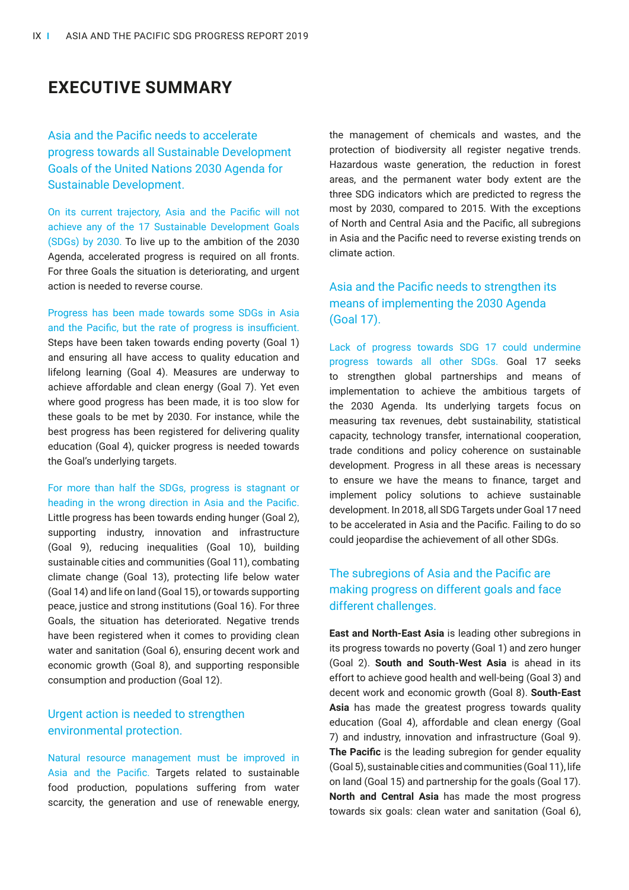# **EXECUTIVE SUMMARY**

Asia and the Pacific needs to accelerate progress towards all Sustainable Development Goals of the United Nations 2030 Agenda for Sustainable Development.

On its current trajectory, Asia and the Pacific will not achieve any of the 17 Sustainable Development Goals (SDGs) by 2030. To live up to the ambition of the 2030 Agenda, accelerated progress is required on all fronts. For three Goals the situation is deteriorating, and urgent action is needed to reverse course.

Progress has been made towards some SDGs in Asia and the Pacific, but the rate of progress is insufficient. Steps have been taken towards ending poverty (Goal 1) and ensuring all have access to quality education and lifelong learning (Goal 4). Measures are underway to achieve affordable and clean energy (Goal 7). Yet even where good progress has been made, it is too slow for these goals to be met by 2030. For instance, while the best progress has been registered for delivering quality education (Goal 4), quicker progress is needed towards the Goal's underlying targets.

For more than half the SDGs, progress is stagnant or heading in the wrong direction in Asia and the Pacific. Little progress has been towards ending hunger (Goal 2), supporting industry, innovation and infrastructure (Goal 9), reducing inequalities (Goal 10), building sustainable cities and communities (Goal 11), combating climate change (Goal 13), protecting life below water (Goal 14) and life on land (Goal 15), or towards supporting peace, justice and strong institutions (Goal 16). For three Goals, the situation has deteriorated. Negative trends have been registered when it comes to providing clean water and sanitation (Goal 6), ensuring decent work and economic growth (Goal 8), and supporting responsible consumption and production (Goal 12).

#### Urgent action is needed to strengthen environmental protection.

Natural resource management must be improved in Asia and the Pacific. Targets related to sustainable food production, populations suffering from water scarcity, the generation and use of renewable energy, the management of chemicals and wastes, and the protection of biodiversity all register negative trends. Hazardous waste generation, the reduction in forest areas, and the permanent water body extent are the three SDG indicators which are predicted to regress the most by 2030, compared to 2015. With the exceptions of North and Central Asia and the Pacific, all subregions in Asia and the Pacific need to reverse existing trends on climate action.

## Asia and the Pacific needs to strengthen its means of implementing the 2030 Agenda (Goal 17).

Lack of progress towards SDG 17 could undermine progress towards all other SDGs. Goal 17 seeks to strengthen global partnerships and means of implementation to achieve the ambitious targets of the 2030 Agenda. Its underlying targets focus on measuring tax revenues, debt sustainability, statistical capacity, technology transfer, international cooperation, trade conditions and policy coherence on sustainable development. Progress in all these areas is necessary to ensure we have the means to finance, target and implement policy solutions to achieve sustainable development. In 2018, all SDG Targets under Goal 17 need to be accelerated in Asia and the Pacific. Failing to do so could jeopardise the achievement of all other SDGs.

### The subregions of Asia and the Pacific are making progress on different goals and face different challenges.

**East and North-East Asia** is leading other subregions in its progress towards no poverty (Goal 1) and zero hunger (Goal 2). **South and South-West Asia** is ahead in its effort to achieve good health and well-being (Goal 3) and decent work and economic growth (Goal 8). **South-East Asia** has made the greatest progress towards quality education (Goal 4), affordable and clean energy (Goal 7) and industry, innovation and infrastructure (Goal 9). **The Pacific** is the leading subregion for gender equality (Goal 5), sustainable cities and communities (Goal 11), life on land (Goal 15) and partnership for the goals (Goal 17). **North and Central Asia** has made the most progress towards six goals: clean water and sanitation (Goal 6),